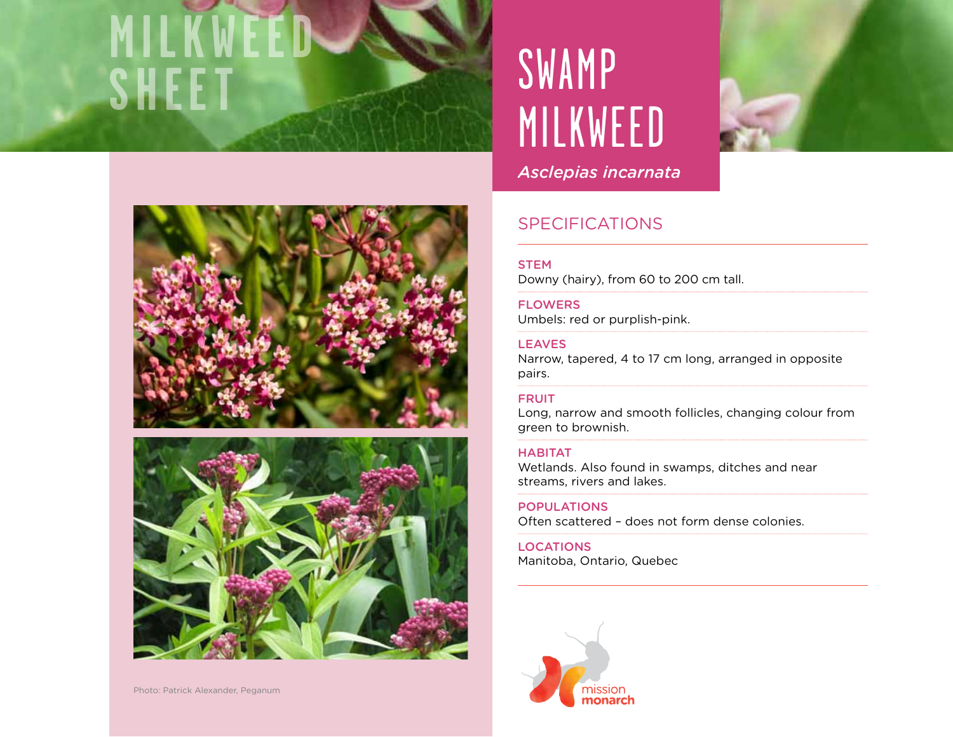# **milkweed** SHEET SWAMP





# milkweed



*Asclepias incarnata*

# SPECIFICATIONS

# **STEM**

Downy (hairy), from 60 to 200 cm tall.

**FLOWERS** Umbels: red or purplish-pink.

### **LEAVES**

Narrow, tapered, 4 to 17 cm long, arranged in opposite pairs.

# **FRUIT**

Long, narrow and smooth follicles, changing colour from green to brownish.

# **HABITAT**

Wetlands. Also found in swamps, ditches and near streams, rivers and lakes.

**POPULATIONS** Often scattered – does not form dense colonies.

**LOCATIONS** Manitoba, Ontario, Quebec

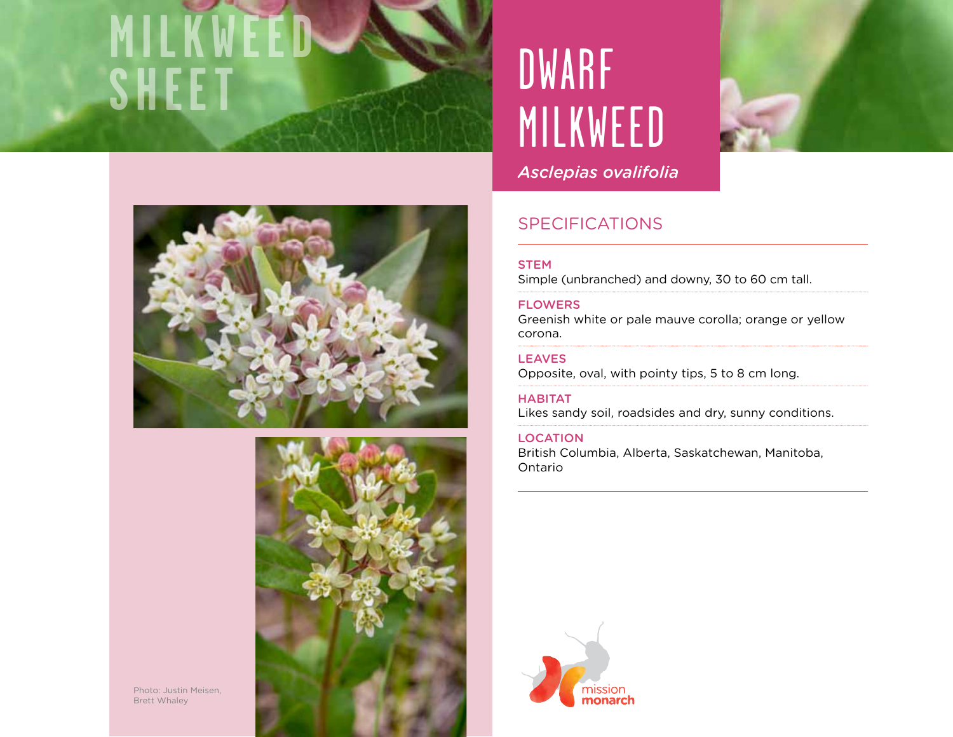# **milkweed** SHEET DESCRIPTION OF BUILDING





# milkweed



*Asclepias ovalifolia*

# SPECIFICATIONS

# **STEM**

Simple (unbranched) and downy, 30 to 60 cm tall.

### **FLOWERS**

Greenish white or pale mauve corolla; orange or yellow corona.

# **LEAVES**

Opposite, oval, with pointy tips, 5 to 8 cm long.

**HABITAT** 

Likes sandy soil, roadsides and dry, sunny conditions.

# **LOCATION**

British Columbia, Alberta, Saskatchewan, Manitoba, Ontario

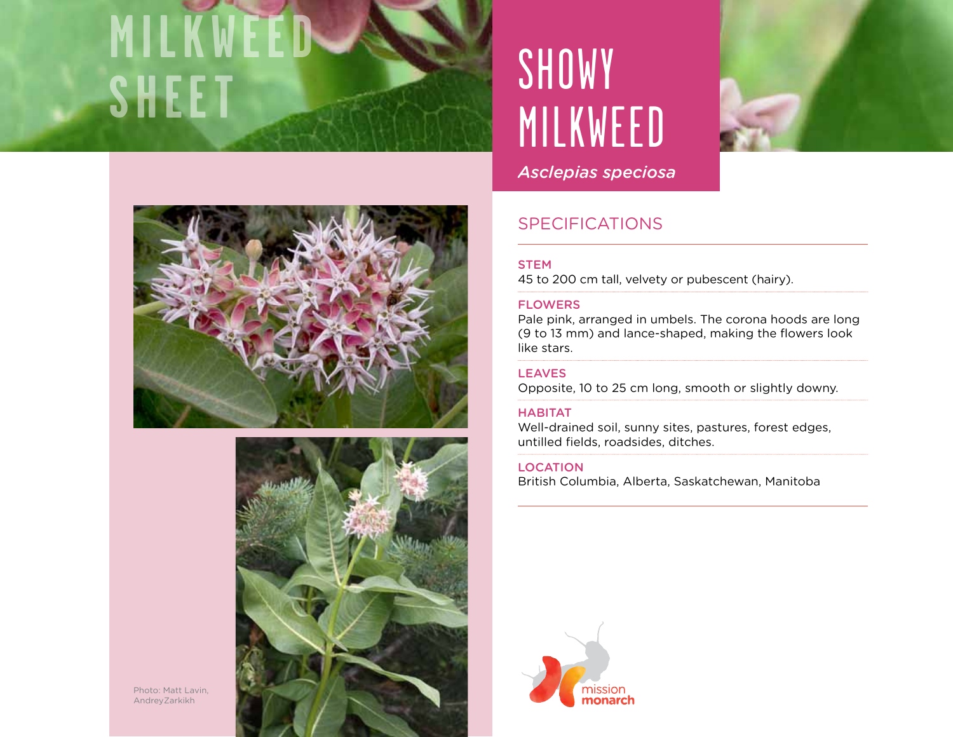# **milkweed** SHEET SHOWY





#### Photo: Matt Lavin, AndreyZarkikh

# milkweed



*Asclepias speciosa*

# SPECIFICATIONS

# **STEM**

45 to 200 cm tall, velvety or pubescent (hairy).

#### **FLOWERS**

Pale pink, arranged in umbels. The corona hoods are long (9 to 13 mm) and lance-shaped, making the flowers look like stars.

### **LEAVES**

Opposite, 10 to 25 cm long, smooth or slightly downy.

### **HABITAT**

Well-drained soil, sunny sites, pastures, forest edges, untilled fields, roadsides, ditches.

# **LOCATION**

British Columbia, Alberta, Saskatchewan, Manitoba

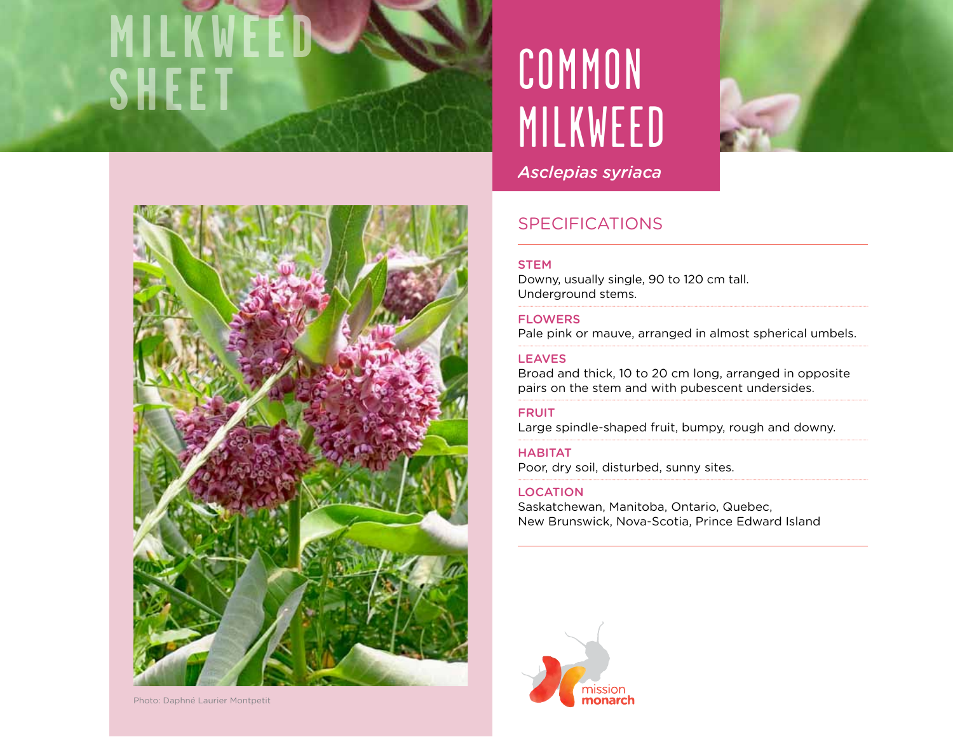# **milkweed**



Photo: Daphné Laurier Montpetit

# **sheet** Common milkweed



*Asclepias syriaca*

# SPECIFICATIONS

# **STEM**

Downy, usually single, 90 to 120 cm tall. Underground stems.

# Flowers

Pale pink or mauve, arranged in almost spherical umbels.

# **LEAVES**

Broad and thick, 10 to 20 cm long, arranged in opposite pairs on the stem and with pubescent undersides.

### **FRUIT**

Large spindle-shaped fruit, bumpy, rough and downy.

**HABITAT** Poor, dry soil, disturbed, sunny sites.

### **LOCATION**

Saskatchewan, Manitoba, Ontario, Quebec, New Brunswick, Nova-Scotia, Prince Edward Island

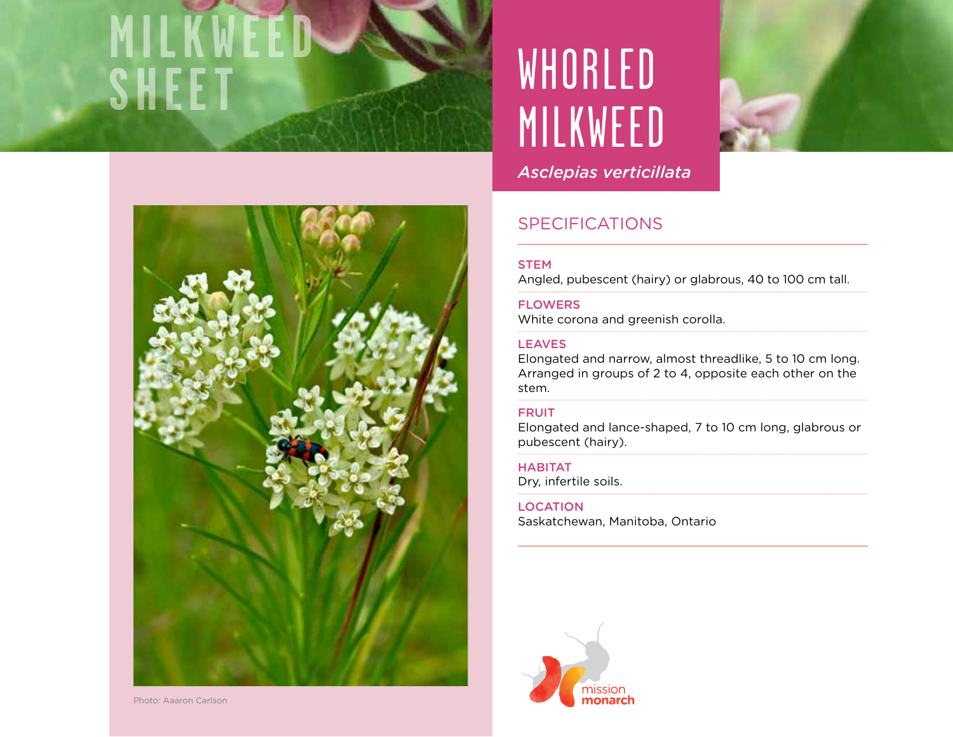# **milkweed**



# **sheet** Whorled milkweed



*Asclepias verticillata*

# SPECIFICATIONS

# **STEM**

Angled, pubescent (hairy) or glabrous, 40 to 100 cm tall.

# **FLOWERS**

White corona and greenish corolla.

# **LEAVES**

Elongated and narrow, almost threadlike, 5 to 10 cm long. Arranged in groups of 2 to 4, opposite each other on the stem.

# **FRUIT**

Elongated and lance-shaped, 7 to 10 cm long, glabrous or pubescent (hairy).

**HABITAT** Dry, infertile soils.

# **LOCATION**

Saskatchewan, Manitoba, Ontario

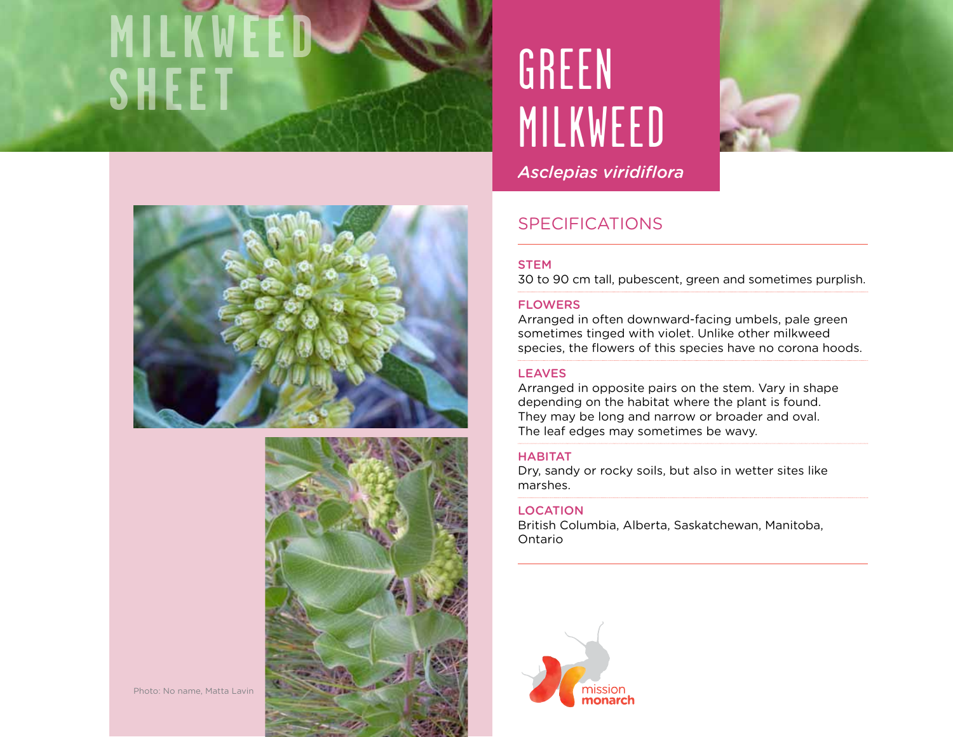# **milkweed** SHEET **GREEN**





#### Photo: No name, Matta Lavin

# milkweed



*Asclepias viridiflora*

# SPECIFICATIONS

# **STEM**

30 to 90 cm tall, pubescent, green and sometimes purplish.

#### **FLOWERS**

Arranged in often downward-facing umbels, pale green sometimes tinged with violet. Unlike other milkweed species, the flowers of this species have no corona hoods.

# **LEAVES**

Arranged in opposite pairs on the stem. Vary in shape depending on the habitat where the plant is found. They may be long and narrow or broader and oval. The leaf edges may sometimes be wavy.

#### **HABITAT**

Dry, sandy or rocky soils, but also in wetter sites like marshes.

### Location

British Columbia, Alberta, Saskatchewan, Manitoba, Ontario